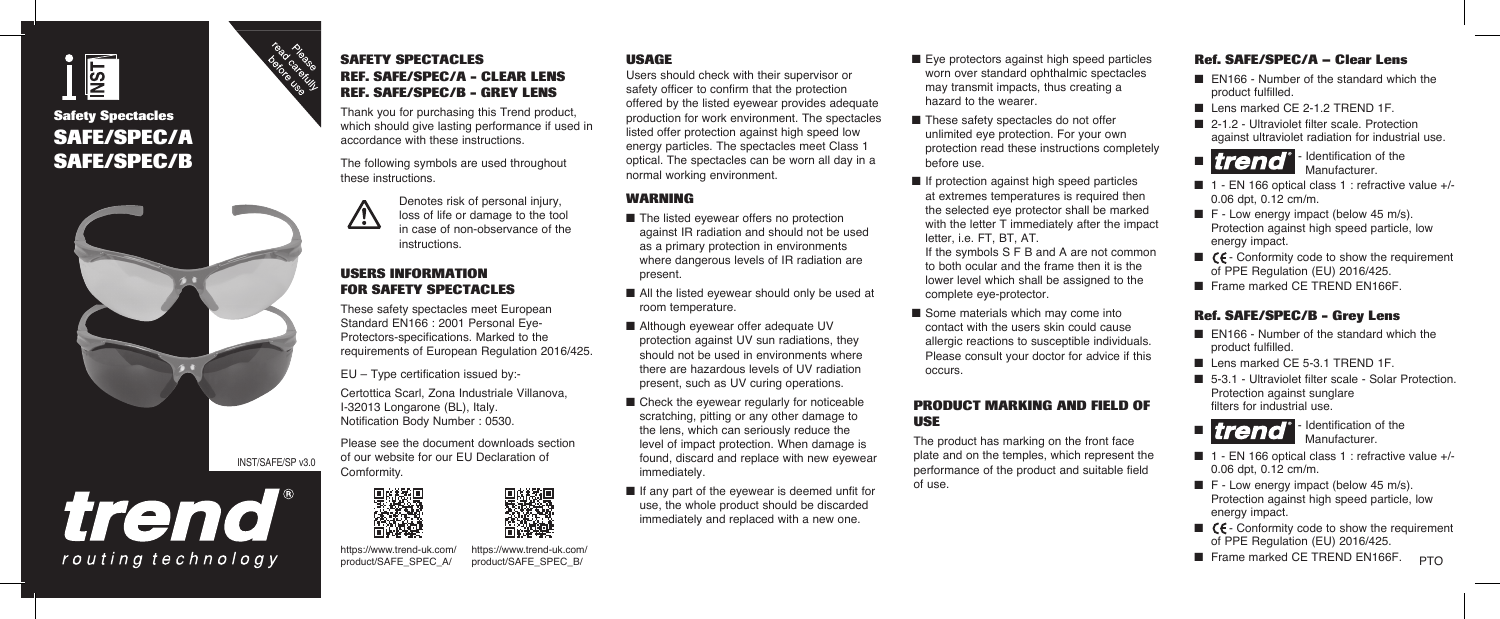

## **SAFE/SPEC/A SAFE/SPEC/B**





# trend routing technology



Thank you for purchasing this Trend product, which should give lasting performance if used in accordance with these instructions.

The following symbols are used throughout these instructions.



Denotes risk of personal injury. loss of life or damage to the tool in case of non-observance of the instructions.

#### **USERS INFORMATION FOR SAFETY SPECTACLES**

These safety spectacles meet European Standard EN166 : 2001 Personal Eye-Protectors-specifications. Marked to the requirements of European Regulation 2016/425.

EU – Type certification issued by:-

Certottica Scarl, Zona Industriale Villanova, I-32013 Longarone (BL), Italy. Notification Body Number : 0530.

Please see the document downloads section of our website for our EU Declaration of Comformity.



n Frame marked CE TREND EN166F.<br>https://www.trend-uk.com/ https://www.trend-uk.com/ https://www.trend-uk.com/ https://www.trend-uk.com/ and the marked CE TREND EN166F. product/SAFE\_SPEC\_A/ https://www.trend-uk.com/ product/SAFE\_SPEC\_B/

#### **USAGE**

Users should check with their supervisor or safety officer to confirm that the protection offered by the listed eyewear provides adequate production for work environment. The spectacles listed offer protection against high speed low energy particles. The spectacles meet Class 1 optical. The spectacles can be worn all day in a normal working environment.

#### **WARNING**

- $\blacksquare$  The listed evewear offers no protection against IR radiation and should not be used as a primary protection in environments where dangerous levels of IR radiation are present.
- $\blacksquare$  All the listed evewear should only be used at room temperature.
- Although eyewear offer adequate UV protection against UV sun radiations, they should not be used in environments where there are hazardous levels of UV radiation present, such as UV curing operations.
- $\blacksquare$  Check the eyewear regularly for noticeable scratching, pitting or any other damage to the lens, which can seriously reduce the level of impact protection. When damage is found, discard and replace with new eyewear immediately.
- $\blacksquare$  If any part of the eyewear is deemed unfit for use, the whole product should be discarded immediately and replaced with a new one.
- $\blacksquare$  Eye protectors against high speed particles worn over standard ophthalmic spectacles may transmit impacts, thus creating a hazard to the wearer.
- $\blacksquare$  These safety spectacles do not offer unlimited eye protection. For your own protection read these instructions completely before use.
- $\blacksquare$  If protection against high speed particles at extremes temperatures is required then the selected eye protector shall be marked with the letter T immediately after the impact letter, i.e. FT, BT, AT.

If the symbols S F B and A are not common to both ocular and the frame then it is the lower level which shall be assigned to the complete eye-protector.

 $\blacksquare$  Some materials which may come into contact with the users skin could cause allergic reactions to susceptible individuals. Please consult your doctor for advice if this occurs.

#### **PRODUCT MARKING AND FIELD OF USE**

The product has marking on the front face plate and on the temples, which represent the performance of the product and suitable field of use.

#### **Ref. SAFE/SPEC/A – Clear Lens**

- $\blacksquare$  EN166 Number of the standard which the product fulfilled.
- $\blacksquare$  Lens marked CE 2-1.2 TREND 1F.
- 2-1.2 Ultraviolet filter scale. Protection against ultraviolet radiation for industrial use.



**Manufacturer** 

- $\blacksquare$  1 EN 166 optical class 1 : refractive value +/-0.06 dpt, 0.12 cm/m.
- $\blacksquare$  F Low energy impact (below 45 m/s). Protection against high speed particle, low energy impact.
- $\blacksquare$   $\mathcal{C}\mathsf{F}$  Conformity code to show the requirement of PPE Regulation (EU) 2016/425.
- Frame marked CF TREND FN166F

#### **Ref. SAFE/SPEC/B - Grey Lens**

- $\blacksquare$  FN166 Number of the standard which the product fulfilled.
- Lens marked CF 5-3.1 TREND 1F
- 5-3.1 Ultraviolet filter scale Solar Protection. Protection against sunglare filters for industrial use.



- $\blacksquare$  1 EN 166 optical class 1 : refractive value +/-0.06 dpt, 0.12 cm/m.
- $F Low$  energy impact (below 45 m/s). Protection against high speed particle, low energy impact.
- $\blacksquare$   $\blacksquare$   $\blacksquare$   $\blacksquare$   $\blacksquare$   $\blacksquare$   $\blacksquare$   $\blacksquare$   $\blacksquare$   $\blacksquare$   $\blacksquare$   $\blacksquare$   $\blacksquare$   $\blacksquare$   $\blacksquare$   $\blacksquare$   $\blacksquare$   $\blacksquare$   $\blacksquare$   $\blacksquare$   $\blacksquare$   $\blacksquare$   $\blacksquare$   $\blacksquare$   $\blacksquare$   $\blacksquare$   $\blacksquare$   $\blacksquare$   $\blacksquare$   $\blacksquare$   $\blacksquare$   $\blacks$ of PPE Regulation (EU) 2016/425.
- **PTO**